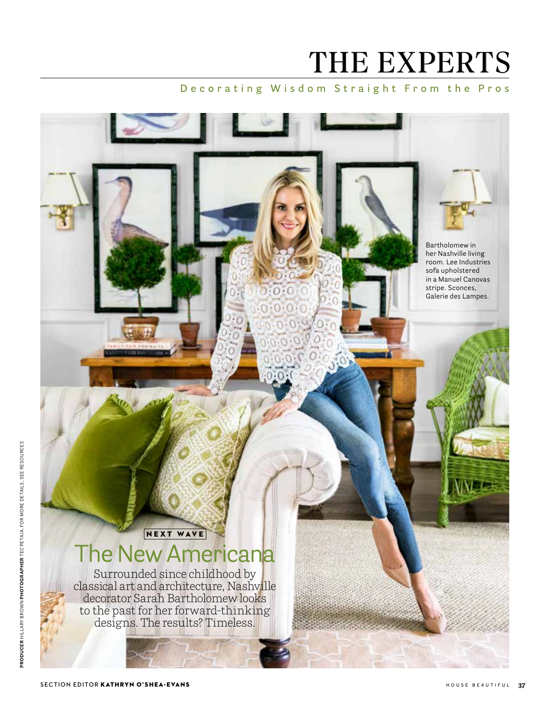# THE EXPERTS

### **Decorating Wisdom Straight From the Pros**

Bartholomew in her Nashville living room. Lee Industries sofa upholstered in a Manuel Canovas stripe. Sconces, Galerie des Lampes.

## NEXT WAVE The New Americana

Surrounded since childhood by classical art and architecture, Nashville decorator Sarah Bartholomew looks to the past for her forward-thinking designs. The results? Timeless.